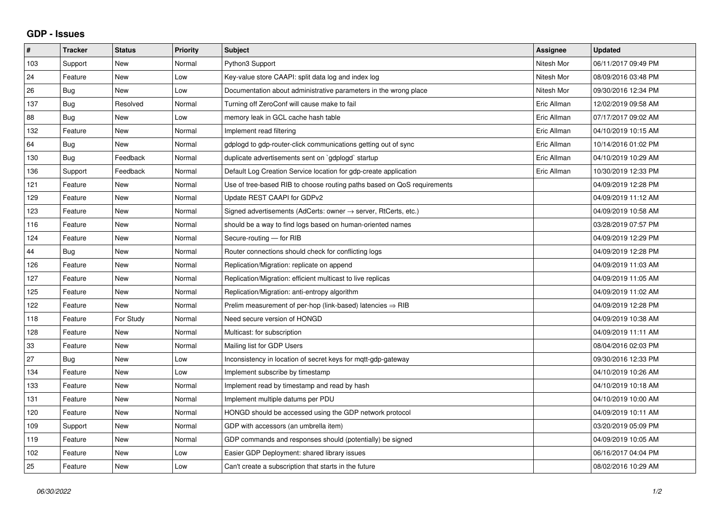## **GDP - Issues**

| $\pmb{\#}$ | <b>Tracker</b> | <b>Status</b> | <b>Priority</b> | <b>Subject</b>                                                          | Assignee    | <b>Updated</b>      |
|------------|----------------|---------------|-----------------|-------------------------------------------------------------------------|-------------|---------------------|
| 103        | Support        | <b>New</b>    | Normal          | Python3 Support                                                         | Nitesh Mor  | 06/11/2017 09:49 PM |
| 24         | Feature        | <b>New</b>    | Low             | Key-value store CAAPI: split data log and index log                     | Nitesh Mor  | 08/09/2016 03:48 PM |
| 26         | Bug            | New           | Low             | Documentation about administrative parameters in the wrong place        | Nitesh Mor  | 09/30/2016 12:34 PM |
| 137        | Bug            | Resolved      | Normal          | Turning off ZeroConf will cause make to fail                            | Eric Allman | 12/02/2019 09:58 AM |
| 88         | Bug            | <b>New</b>    | Low             | memory leak in GCL cache hash table                                     | Eric Allman | 07/17/2017 09:02 AM |
| 132        | Feature        | New           | Normal          | Implement read filtering                                                | Eric Allman | 04/10/2019 10:15 AM |
| 64         | Bug            | New           | Normal          | gdplogd to gdp-router-click communications getting out of sync          | Eric Allman | 10/14/2016 01:02 PM |
| 130        | <b>Bug</b>     | Feedback      | Normal          | duplicate advertisements sent on `gdplogd` startup                      | Eric Allman | 04/10/2019 10:29 AM |
| 136        | Support        | Feedback      | Normal          | Default Log Creation Service location for gdp-create application        | Eric Allman | 10/30/2019 12:33 PM |
| 121        | Feature        | <b>New</b>    | Normal          | Use of tree-based RIB to choose routing paths based on QoS requirements |             | 04/09/2019 12:28 PM |
| 129        | Feature        | <b>New</b>    | Normal          | Update REST CAAPI for GDPv2                                             |             | 04/09/2019 11:12 AM |
| 123        | Feature        | New           | Normal          | Signed advertisements (AdCerts: owner → server, RtCerts, etc.)          |             | 04/09/2019 10:58 AM |
| 116        | Feature        | <b>New</b>    | Normal          | should be a way to find logs based on human-oriented names              |             | 03/28/2019 07:57 PM |
| 124        | Feature        | <b>New</b>    | Normal          | Secure-routing - for RIB                                                |             | 04/09/2019 12:29 PM |
| 44         | Bug            | <b>New</b>    | Normal          | Router connections should check for conflicting logs                    |             | 04/09/2019 12:28 PM |
| 126        | Feature        | <b>New</b>    | Normal          | Replication/Migration: replicate on append                              |             | 04/09/2019 11:03 AM |
| 127        | Feature        | <b>New</b>    | Normal          | Replication/Migration: efficient multicast to live replicas             |             | 04/09/2019 11:05 AM |
| 125        | Feature        | New           | Normal          | Replication/Migration: anti-entropy algorithm                           |             | 04/09/2019 11:02 AM |
| 122        | Feature        | <b>New</b>    | Normal          | Prelim measurement of per-hop (link-based) latencies $\Rightarrow$ RIB  |             | 04/09/2019 12:28 PM |
| 118        | Feature        | For Study     | Normal          | Need secure version of HONGD                                            |             | 04/09/2019 10:38 AM |
| 128        | Feature        | New           | Normal          | Multicast: for subscription                                             |             | 04/09/2019 11:11 AM |
| 33         | Feature        | <b>New</b>    | Normal          | Mailing list for GDP Users                                              |             | 08/04/2016 02:03 PM |
| 27         | Bug            | <b>New</b>    | Low             | Inconsistency in location of secret keys for mqtt-gdp-gateway           |             | 09/30/2016 12:33 PM |
| 134        | Feature        | <b>New</b>    | Low             | Implement subscribe by timestamp                                        |             | 04/10/2019 10:26 AM |
| 133        | Feature        | <b>New</b>    | Normal          | Implement read by timestamp and read by hash                            |             | 04/10/2019 10:18 AM |
| 131        | Feature        | New           | Normal          | Implement multiple datums per PDU                                       |             | 04/10/2019 10:00 AM |
| 120        | Feature        | <b>New</b>    | Normal          | HONGD should be accessed using the GDP network protocol                 |             | 04/09/2019 10:11 AM |
| 109        | Support        | <b>New</b>    | Normal          | GDP with accessors (an umbrella item)                                   |             | 03/20/2019 05:09 PM |
| 119        | Feature        | New           | Normal          | GDP commands and responses should (potentially) be signed               |             | 04/09/2019 10:05 AM |
| 102        | Feature        | <b>New</b>    | Low             | Easier GDP Deployment: shared library issues                            |             | 06/16/2017 04:04 PM |
| 25         | Feature        | New           | Low             | Can't create a subscription that starts in the future                   |             | 08/02/2016 10:29 AM |